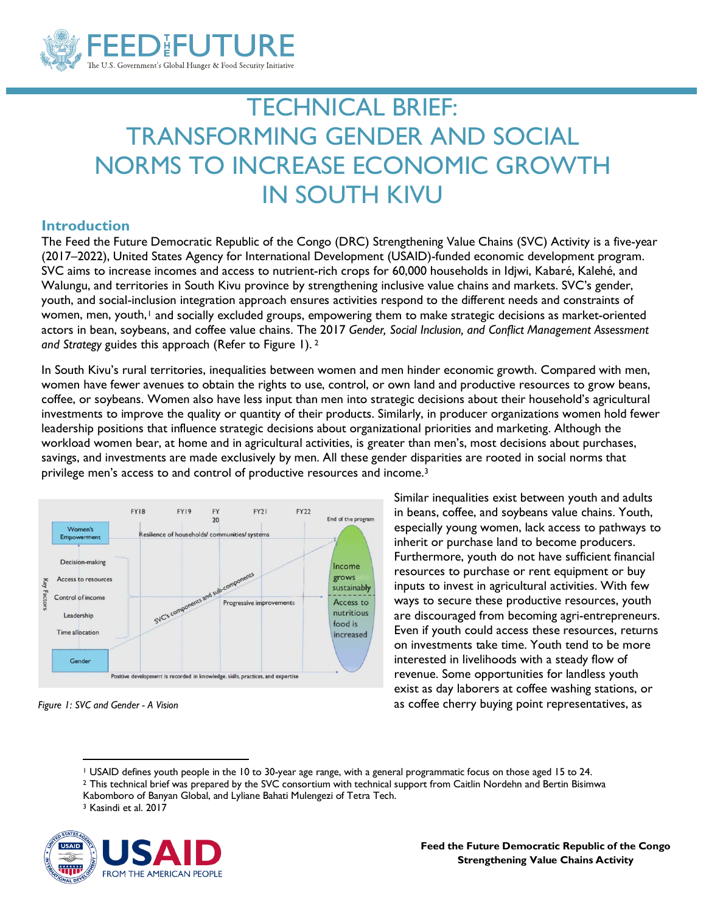

# TECHNICAL BRIEF: TRANSFORMING GENDER AND SOCIAL NORMS TO INCREASE ECONOMIC GROWTH IN SOUTH KIVU

### **Introduction**

The Feed the Future Democratic Republic of the Congo (DRC) Strengthening Value Chains (SVC) Activity is a five-year (2017–2022), United States Agency for International Development (USAID)-funded economic development program. SVC aims to increase incomes and access to nutrient-rich crops for 60,000 households in Idjwi, Kabaré, Kalehé, and Walungu, and territories in South Kivu province by strengthening inclusive value chains and markets. SVC's gender, youth, and social-inclusion integration approach ensures activities respond to the different needs and constraints of women, men, youth,<sup>[1](#page-0-0)</sup> and socially excluded groups, empowering them to make strategic decisions as market-oriented actors in bean, soybeans, and coffee value chains. The 2017 *Gender, Social Inclusion, and Conflict Management Assessment and Strategy* guides this approach (Refer to Figure 1). [2](#page-0-1)

In South Kivu's rural territories, inequalities between women and men hinder economic growth. Compared with men, women have fewer avenues to obtain the rights to use, control, or own land and productive resources to grow beans, coffee, or soybeans. Women also have less input than men into strategic decisions about their household's agricultural investments to improve the quality or quantity of their products. Similarly, in producer organizations women hold fewer leadership positions that influence strategic decisions about organizational priorities and marketing. Although the workload women bear, at home and in agricultural activities, is greater than men's, most decisions about purchases, savings, and investments are made exclusively by men. All these gender disparities are rooted in social norms that privilege men's access to and control of productive resources and income.[3](#page-0-2) 



*Figure 1: SVC and Gender - A Vision*

Similar inequalities exist between youth and adults in beans, coffee, and soybeans value chains. Youth, especially young women, lack access to pathways to inherit or purchase land to become producers. Furthermore, youth do not have sufficient financial resources to purchase or rent equipment or buy inputs to invest in agricultural activities. With few ways to secure these productive resources, youth are discouraged from becoming agri-entrepreneurs. Even if youth could access these resources, returns on investments take time. Youth tend to be more interested in livelihoods with a steady flow of revenue. Some opportunities for landless youth exist as day laborers at coffee washing stations, or as coffee cherry buying point representatives, as

- <sup>2</sup> This technical brief was prepared by the SVC consortium with technical support from Caitlin Nordehn and Bertin Bisimwa
- Kabomboro of Banyan Global, and Lyliane Bahati Mulengezi of Tetra Tech.<br><sup>3</sup> Kasindi et al. 2017
- 

<span id="page-0-2"></span><span id="page-0-1"></span><span id="page-0-0"></span>

<sup>1</sup> USAID defines youth people in the 10 to 30-year age range, with a general programmatic focus on those aged 15 to 24.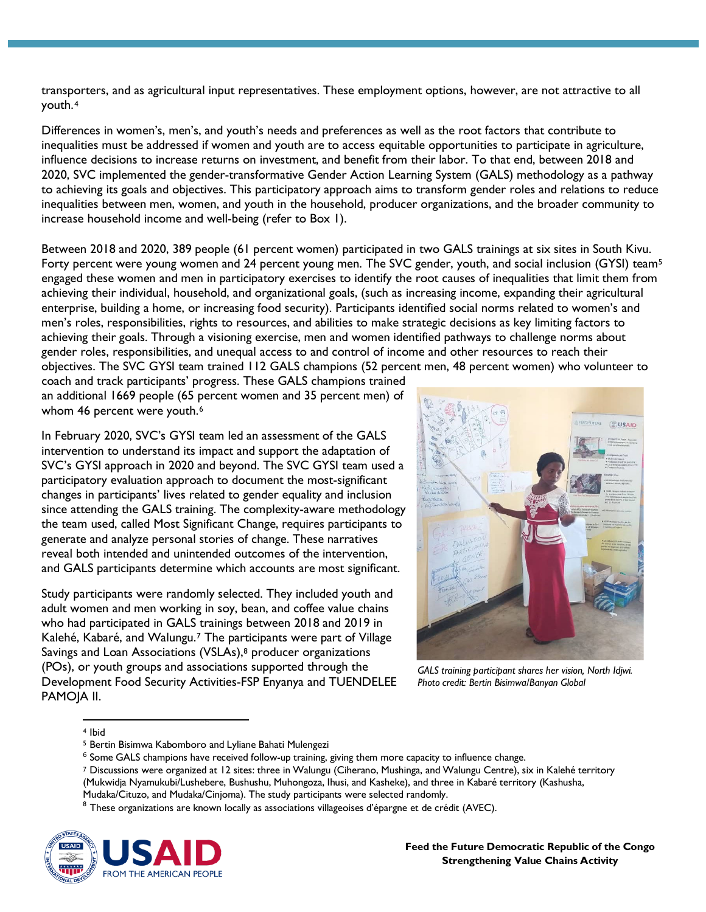transporters, and as agricultural input representatives. These employment options, however, are not attractive to all youth.[4](#page-1-0)

Differences in women's, men's, and youth's needs and preferences as well as the root factors that contribute to inequalities must be addressed if women and youth are to access equitable opportunities to participate in agriculture, influence decisions to increase returns on investment, and benefit from their labor. To that end, between 2018 and 2020, SVC implemented the gender-transformative Gender Action Learning System (GALS) methodology as a pathway to achieving its goals and objectives. This participatory approach aims to transform gender roles and relations to reduce inequalities between men, women, and youth in the household, producer organizations, and the broader community to increase household income and well-being (refer to Box 1).

Between 2018 and 2020, 389 people (61 percent women) participated in two GALS trainings at six sites in South Kivu. Forty percent were young women and 24 percent young men. The SVC gender, youth, and social inclusion (GYSI) team<sup>[5](#page-1-1)</sup> engaged these women and men in participatory exercises to identify the root causes of inequalities that limit them from achieving their individual, household, and organizational goals, (such as increasing income, expanding their agricultural enterprise, building a home, or increasing food security). Participants identified social norms related to women's and men's roles, responsibilities, rights to resources, and abilities to make strategic decisions as key limiting factors to achieving their goals. Through a visioning exercise, men and women identified pathways to challenge norms about gender roles, responsibilities, and unequal access to and control of income and other resources to reach their objectives. The SVC GYSI team trained 112 GALS champions (52 percent men, 48 percent women) who volunteer to

coach and track participants' progress. These GALS champions trained an additional 1669 people (65 percent women and 35 percent men) of whom 4[6](#page-1-2) percent were youth.<sup>6</sup>

In February 2020, SVC's GYSI team led an assessment of the GALS intervention to understand its impact and support the adaptation of SVC's GYSI approach in 2020 and beyond. The SVC GYSI team used a participatory evaluation approach to document the most-significant changes in participants' lives related to gender equality and inclusion since attending the GALS training. The complexity-aware methodology the team used, called Most Significant Change, requires participants to generate and analyze personal stories of change. These narratives reveal both intended and unintended outcomes of the intervention, and GALS participants determine which accounts are most significant.

Study participants were randomly selected. They included youth and adult women and men working in soy, bean, and coffee value chains who had participated in GALS trainings between 2018 and 2019 in Kalehé, Kabaré, and Walungu.[7](#page-1-3) The participants were part of Village Savings and Loan Associations (VSLAs),<sup>8</sup> producer organizations (POs), or youth groups and associations supported through the Development Food Security Activities-FSP Enyanya and TUENDELEE PAMOJA II.



*GALS training participant shares her vision, North Idjwi. Photo credit: Bertin Bisimwa/Banyan Global*

<span id="page-1-0"></span><sup>4</sup> Ibid

<span id="page-1-4"></span><span id="page-1-3"></span><span id="page-1-2"></span><span id="page-1-1"></span> $8$  These organizations are known locally as associations villageoises d'épargne et de crédit (AVEC).



<sup>5</sup> Bertin Bisimwa Kabomboro and Lyliane Bahati Mulengezi

 $6$  Some GALS champions have received follow-up training, giving them more capacity to influence change.

<sup>7</sup> Discussions were organized at 12 sites: three in Walungu (Ciherano, Mushinga, and Walungu Centre), six in Kalehé territory (Mukwidja Nyamukubi/Lushebere, Bushushu, Muhongoza, Ihusi, and Kasheke), and three in Kabaré territory (Kashusha, Mudaka/Cituzo, and Mudaka/Cinjoma). The study participants were selected randomly.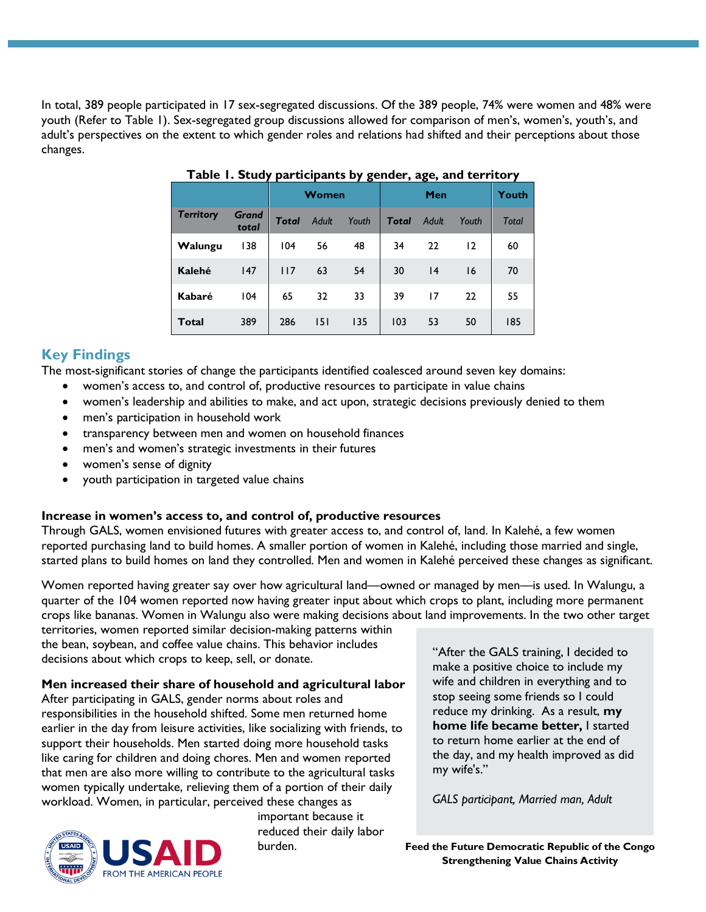In total, 389 people participated in 17 sex-segregated discussions. Of the 389 people, 74% were women and 48% were youth (Refer to Table 1). Sex-segregated group discussions allowed for comparison of men's, women's, youth's, and adult's perspectives on the extent to which gender roles and relations had shifted and their perceptions about those changes.

|                  |                       | Women        |              |       | Men          |              |       | Youth        |
|------------------|-----------------------|--------------|--------------|-------|--------------|--------------|-------|--------------|
| <b>Territory</b> | <b>Grand</b><br>total | <b>Total</b> | <b>Adult</b> | Youth | <b>Total</b> | <b>Adult</b> | Youth | <b>Total</b> |
| Walungu          | 138                   | 104          | 56           | 48    | 34           | 22           | 12    | 60           |
| <b>Kalehé</b>    | 147                   | 117          | 63           | 54    | 30           | 4            | 16    | 70           |
| Kabaré           | 104                   | 65           | 32           | 33    | 39           | 17           | 22    | 55           |
| <b>Total</b>     | 389                   | 286          | 5            | 135   | 103          | 53           | 50    | 185          |

#### **Table 1. Study participants by gender, age, and territory**

## **Key Findings**

The most-significant stories of change the participants identified coalesced around seven key domains:

- women's access to, and control of, productive resources to participate in value chains
- women's leadership and abilities to make, and act upon, strategic decisions previously denied to them
- men's participation in household work
- transparency between men and women on household finances
- men's and women's strategic investments in their futures
- women's sense of dignity
- youth participation in targeted value chains

#### **Increase in women's access to, and control of, productive resources**

Through GALS, women envisioned futures with greater access to, and control of, land. In Kalehé, a few women reported purchasing land to build homes. A smaller portion of women in Kalehé, including those married and single, started plans to build homes on land they controlled. Men and women in Kalehé perceived these changes as significant.

Women reported having greater say over how agricultural land—owned or managed by men—is used. In Walungu, a quarter of the 104 women reported now having greater input about which crops to plant, including more permanent crops like bananas. Women in Walungu also were making decisions about land improvements. In the two other target

territories, women reported similar decision-making patterns within the bean, soybean, and coffee value chains. This behavior includes decisions about which crops to keep, sell, or donate.

#### **Men increased their share of household and agricultural labor**

After participating in GALS, gender norms about roles and responsibilities in the household shifted. Some men returned home earlier in the day from leisure activities, like socializing with friends, to support their households. Men started doing more household tasks like caring for children and doing chores. Men and women reported that men are also more willing to contribute to the agricultural tasks women typically undertake, relieving them of a portion of their daily workload. Women, in particular, perceived these changes as



important because it reduced their daily labor burden.

"After the GALS training, I decided to make a positive choice to include my wife and children in everything and to stop seeing some friends so I could reduce my drinking. As a result, **my home life became better,** I started to return home earlier at the end of the day, and my health improved as did my wife's."

*GALS participant, Married man, Adult*

**Feed the Future Democratic Republic of the Congo Strengthening Value Chains Activity**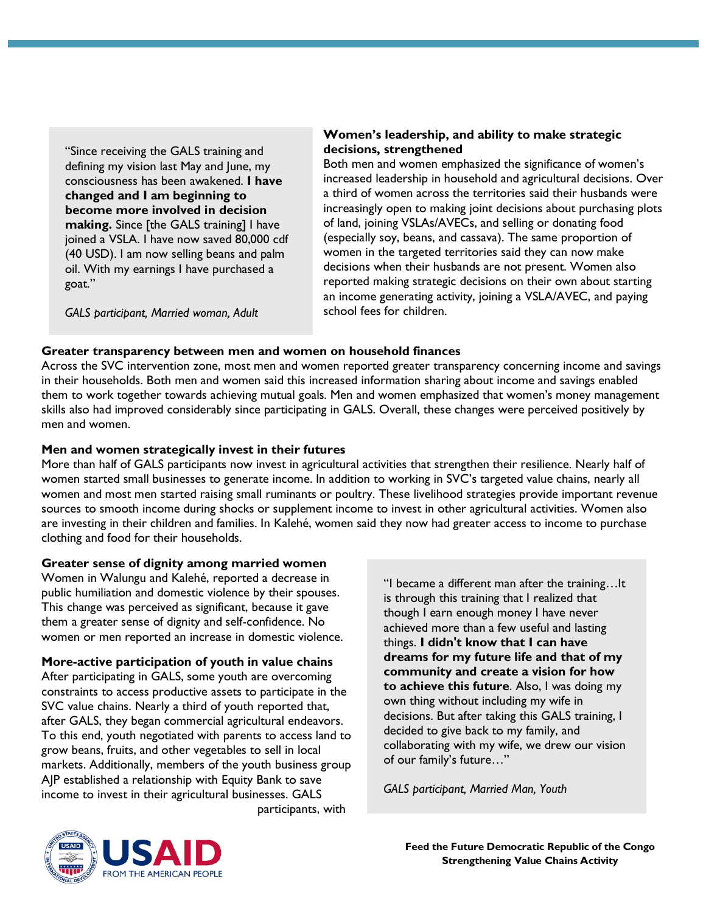"Since receiving the GALS training and defining my vision last May and June, my consciousness has been awakened. **I have changed and I am beginning to become more involved in decision making.** Since [the GALS training] I have joined a VSLA. I have now saved 80,000 cdf (40 USD). I am now selling beans and palm oil. With my earnings I have purchased a goat."

*GALS participant, Married woman, Adult*

#### **Women's leadership, and ability to make strategic decisions, strengthened**

Both men and women emphasized the significance of women's increased leadership in household and agricultural decisions. Over a third of women across the territories said their husbands were increasingly open to making joint decisions about purchasing plots of land, joining VSLAs/AVECs, and selling or donating food (especially soy, beans, and cassava). The same proportion of women in the targeted territories said they can now make decisions when their husbands are not present. Women also reported making strategic decisions on their own about starting an income generating activity, joining a VSLA/AVEC, and paying school fees for children.

### **Greater transparency between men and women on household finances**

Across the SVC intervention zone, most men and women reported greater transparency concerning income and savings in their households. Both men and women said this increased information sharing about income and savings enabled them to work together towards achieving mutual goals. Men and women emphasized that women's money management skills also had improved considerably since participating in GALS. Overall, these changes were perceived positively by men and women.

## **Men and women strategically invest in their futures**

More than half of GALS participants now invest in agricultural activities that strengthen their resilience. Nearly half of women started small businesses to generate income. In addition to working in SVC's targeted value chains, nearly all women and most men started raising small ruminants or poultry. These livelihood strategies provide important revenue sources to smooth income during shocks or supplement income to invest in other agricultural activities. Women also are investing in their children and families. In Kalehé, women said they now had greater access to income to purchase clothing and food for their households.

### **Greater sense of dignity among married women**

Women in Walungu and Kalehé, reported a decrease in public humiliation and domestic violence by their spouses. This change was perceived as significant, because it gave them a greater sense of dignity and self-confidence. No women or men reported an increase in domestic violence.

**More-active participation of youth in value chains** 

After participating in GALS, some youth are overcoming constraints to access productive assets to participate in the SVC value chains. Nearly a third of youth reported that, after GALS, they began commercial agricultural endeavors. To this end, youth negotiated with parents to access land to grow beans, fruits, and other vegetables to sell in local markets. Additionally, members of the youth business group AJP established a relationship with Equity Bank to save income to invest in their agricultural businesses. GALS

participants, with

"I became a different man after the training…It is through this training that I realized that though I earn enough money I have never achieved more than a few useful and lasting things. **I didn't know that I can have dreams for my future life and that of my community and create a vision for how to achieve this future**. Also, I was doing my own thing without including my wife in decisions. But after taking this GALS training, I decided to give back to my family, and collaborating with my wife, we drew our vision of our family's future…"

*GALS participant, Married Man, Youth*



**Feed the Future Democratic Republic of the Congo Strengthening Value Chains Activity**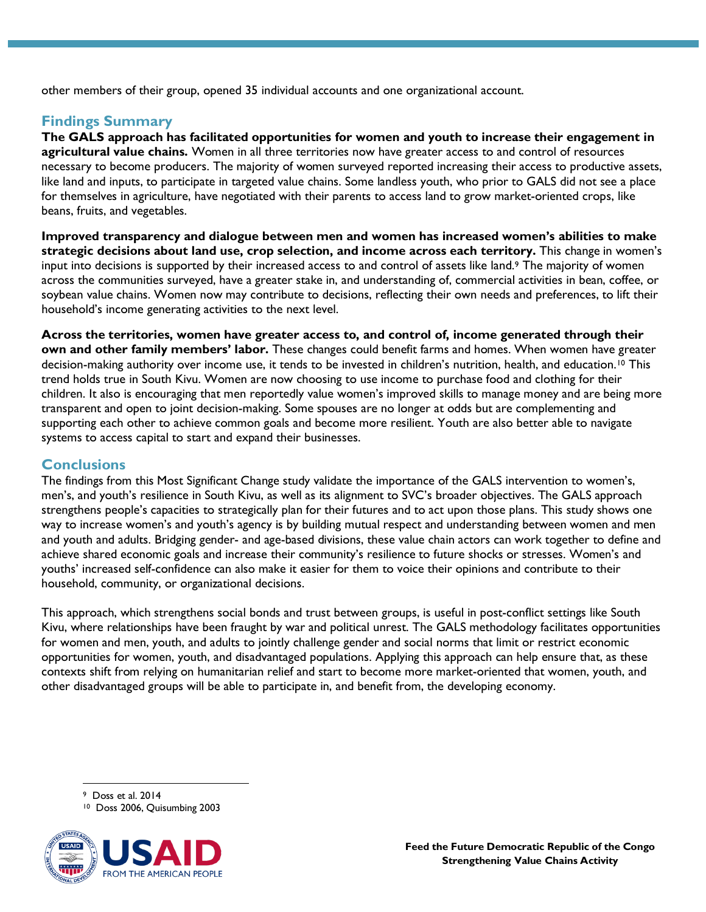other members of their group, opened 35 individual accounts and one organizational account.

## **Findings Summary**

**The GALS approach has facilitated opportunities for women and youth to increase their engagement in agricultural value chains.** Women in all three territories now have greater access to and control of resources necessary to become producers. The majority of women surveyed reported increasing their access to productive assets, like land and inputs, to participate in targeted value chains. Some landless youth, who prior to GALS did not see a place for themselves in agriculture, have negotiated with their parents to access land to grow market-oriented crops, like beans, fruits, and vegetables.

**Improved transparency and dialogue between men and women has increased women's abilities to make strategic decisions about land use, crop selection, and income across each territory.** This change in women's input into decisions is supported by their increased access to and control of assets like land.[9](#page-4-0) The majority of women across the communities surveyed, have a greater stake in, and understanding of, commercial activities in bean, coffee, or soybean value chains. Women now may contribute to decisions, reflecting their own needs and preferences, to lift their household's income generating activities to the next level.

**Across the territories, women have greater access to, and control of, income generated through their own and other family members' labor.** These changes could benefit farms and homes. When women have greater decision-making authority over income use, it tends to be invested in children's nutrition, health, and education.<sup>[10](#page-4-1)</sup> This trend holds true in South Kivu. Women are now choosing to use income to purchase food and clothing for their children. It also is encouraging that men reportedly value women's improved skills to manage money and are being more transparent and open to joint decision-making. Some spouses are no longer at odds but are complementing and supporting each other to achieve common goals and become more resilient. Youth are also better able to navigate systems to access capital to start and expand their businesses.

## **Conclusions**

The findings from this Most Significant Change study validate the importance of the GALS intervention to women's, men's, and youth's resilience in South Kivu, as well as its alignment to SVC's broader objectives. The GALS approach strengthens people's capacities to strategically plan for their futures and to act upon those plans. This study shows one way to increase women's and youth's agency is by building mutual respect and understanding between women and men and youth and adults. Bridging gender- and age-based divisions, these value chain actors can work together to define and achieve shared economic goals and increase their community's resilience to future shocks or stresses. Women's and youths' increased self-confidence can also make it easier for them to voice their opinions and contribute to their household, community, or organizational decisions.

This approach, which strengthens social bonds and trust between groups, is useful in post-conflict settings like South Kivu, where relationships have been fraught by war and political unrest. The GALS methodology facilitates opportunities for women and men, youth, and adults to jointly challenge gender and social norms that limit or restrict economic opportunities for women, youth, and disadvantaged populations. Applying this approach can help ensure that, as these contexts shift from relying on humanitarian relief and start to become more market-oriented that women, youth, and other disadvantaged groups will be able to participate in, and benefit from, the developing economy.

9 Doss et al. 2014

<span id="page-4-1"></span><span id="page-4-0"></span><sup>10</sup> Doss 2006, Quisumbing 2003